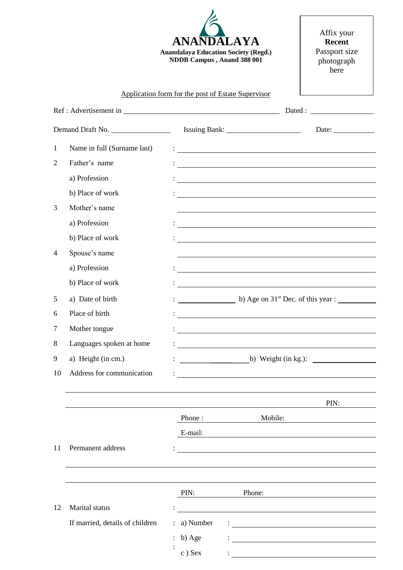**ANANDALAYA Anandalaya Education Society (Regd.) NDDB Campus , Anand 388 001**

Affix your **Recent** Passport size photograph here

## Application form for the post of Estate Supervisor

| Demand Draft No. |                                 |           |                                                                                                                                                                                                                                      | Date: $\qquad \qquad$ |  |
|------------------|---------------------------------|-----------|--------------------------------------------------------------------------------------------------------------------------------------------------------------------------------------------------------------------------------------|-----------------------|--|
| $\mathbf{1}$     | Name in full (Surname last)     |           | <u> : a construction de la construction de la construction de la construction de la construction de la construction de la construction de la construction de la construction de la construction de la construction de la constru</u> |                       |  |
| 2                | Father's name                   |           | <u> 1989 - Johann Harry Barn, mars ar breist fan de Amerikaansk kommunent fan de Amerikaanske kommunent fan de A</u>                                                                                                                 |                       |  |
|                  | a) Profession                   |           | <u> 1989 - Johann Stein, fransk politik (d. 1989)</u>                                                                                                                                                                                |                       |  |
|                  | b) Place of work                |           | <u> 1989 - Johann Harry Harry Harry Harry Harry Harry Harry Harry Harry Harry Harry Harry Harry Harry Harry Harry</u>                                                                                                                |                       |  |
| 3                | Mother's name                   |           |                                                                                                                                                                                                                                      |                       |  |
|                  | a) Profession                   |           | <u> 1989 - Johann Stoff, deutscher Stoff, der Stoff, der Stoff, der Stoff, der Stoff, der Stoff, der Stoff, der S</u>                                                                                                                |                       |  |
|                  | b) Place of work                |           | <u> 1989 - Andrea Station Barbara, amerikan personal di sebagai personal di sebagai personal di sebagai personal </u>                                                                                                                |                       |  |
| 4                | Spouse's name                   |           |                                                                                                                                                                                                                                      |                       |  |
|                  | a) Profession                   |           | <u> 1989 - Johann Barbara, martin amerikan basar dan berasal dalam basa dalam basar dalam basar dalam basar dala</u>                                                                                                                 |                       |  |
|                  | b) Place of work                |           |                                                                                                                                                                                                                                      |                       |  |
| 5                | a) Date of birth                |           | $\frac{1}{2}$ b) Age on 31 <sup>st</sup> Dec. of this year :                                                                                                                                                                         |                       |  |
| 6                | Place of birth                  |           | <u> Alexandria de la contrada de la contrada de la contrada de la contrada de la contrada de la contrada de la c</u>                                                                                                                 |                       |  |
| 7                | Mother tongue                   |           | <u> Andreas Andreas Andreas Andreas Andreas Andreas Andreas Andreas Andreas Andreas Andreas Andreas Andreas Andr</u>                                                                                                                 |                       |  |
| 8                | Languages spoken at home        |           |                                                                                                                                                                                                                                      |                       |  |
| 9                | a) Height (in cm.)              |           | b) Weight (in kg.): $\qquad \qquad$                                                                                                                                                                                                  |                       |  |
| 10               | Address for communication       |           |                                                                                                                                                                                                                                      |                       |  |
|                  |                                 |           |                                                                                                                                                                                                                                      |                       |  |
|                  |                                 |           |                                                                                                                                                                                                                                      | PIN:                  |  |
|                  |                                 | Phone:    | Mobile:                                                                                                                                                                                                                              |                       |  |
|                  |                                 | E-mail:   |                                                                                                                                                                                                                                      |                       |  |
| 11               | Permanent address               |           |                                                                                                                                                                                                                                      |                       |  |
|                  |                                 |           |                                                                                                                                                                                                                                      |                       |  |
|                  |                                 |           |                                                                                                                                                                                                                                      |                       |  |
|                  |                                 | PIN:      | Phone:                                                                                                                                                                                                                               |                       |  |
| 12               | Marital status                  |           |                                                                                                                                                                                                                                      |                       |  |
|                  | If married, details of children | a) Number | <u> 1989 - John Stein, Amerikaansk politiker (</u>                                                                                                                                                                                   |                       |  |
|                  |                                 | b) Age    |                                                                                                                                                                                                                                      |                       |  |
|                  |                                 | c) Sex    |                                                                                                                                                                                                                                      |                       |  |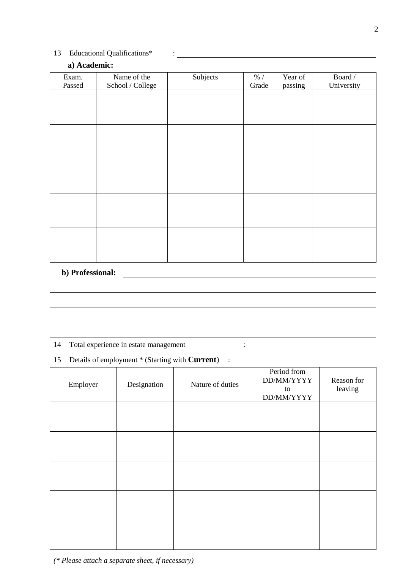## 13 Educational Qualifications\* :

## **a) Academic:**

| Exam.  | Name of the      | Subjects | % /   | Year of | Board/     |
|--------|------------------|----------|-------|---------|------------|
| Passed | School / College |          | Grade | passing | University |
|        |                  |          |       |         |            |
|        |                  |          |       |         |            |
|        |                  |          |       |         |            |
|        |                  |          |       |         |            |
|        |                  |          |       |         |            |
|        |                  |          |       |         |            |
|        |                  |          |       |         |            |
|        |                  |          |       |         |            |
|        |                  |          |       |         |            |
|        |                  |          |       |         |            |
|        |                  |          |       |         |            |
|        |                  |          |       |         |            |
|        |                  |          |       |         |            |
|        |                  |          |       |         |            |
|        |                  |          |       |         |            |

# **b) Professional:**

- 14 Total experience in estate management :
- 15 Details of employment \* (Starting with **Current**) :

| Employer | Designation | Nature of duties | Period from<br>DD/MM/YYYY<br>to<br>DD/MM/YYYY | Reason for<br>leaving |
|----------|-------------|------------------|-----------------------------------------------|-----------------------|
|          |             |                  |                                               |                       |
|          |             |                  |                                               |                       |
|          |             |                  |                                               |                       |
|          |             |                  |                                               |                       |
|          |             |                  |                                               |                       |

*(\* Please attach a separate sheet, if necessary)*

<u> 1980 - Johann Barbara, martin a</u>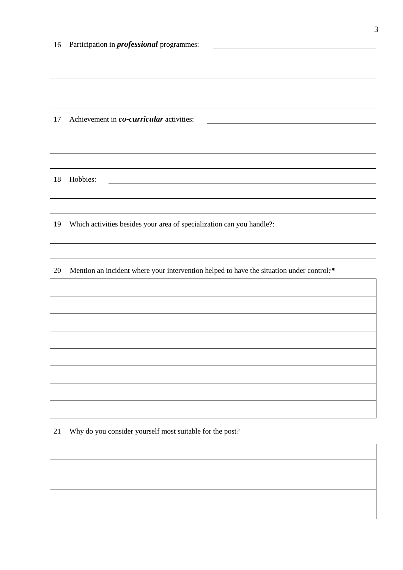| 16 | Participation in <i>professional</i> programmes:                                         |  |  |  |  |
|----|------------------------------------------------------------------------------------------|--|--|--|--|
|    |                                                                                          |  |  |  |  |
|    |                                                                                          |  |  |  |  |
|    |                                                                                          |  |  |  |  |
| 17 | Achievement in co-curricular activities:                                                 |  |  |  |  |
|    |                                                                                          |  |  |  |  |
|    |                                                                                          |  |  |  |  |
| 18 | Hobbies:                                                                                 |  |  |  |  |
|    |                                                                                          |  |  |  |  |
| 19 | Which activities besides your area of specialization can you handle?:                    |  |  |  |  |
|    |                                                                                          |  |  |  |  |
| 20 | Mention an incident where your intervention helped to have the situation under control:* |  |  |  |  |
|    |                                                                                          |  |  |  |  |
|    |                                                                                          |  |  |  |  |
|    |                                                                                          |  |  |  |  |
|    |                                                                                          |  |  |  |  |
|    |                                                                                          |  |  |  |  |
|    |                                                                                          |  |  |  |  |
|    |                                                                                          |  |  |  |  |

Why do you consider yourself most suitable for the post?